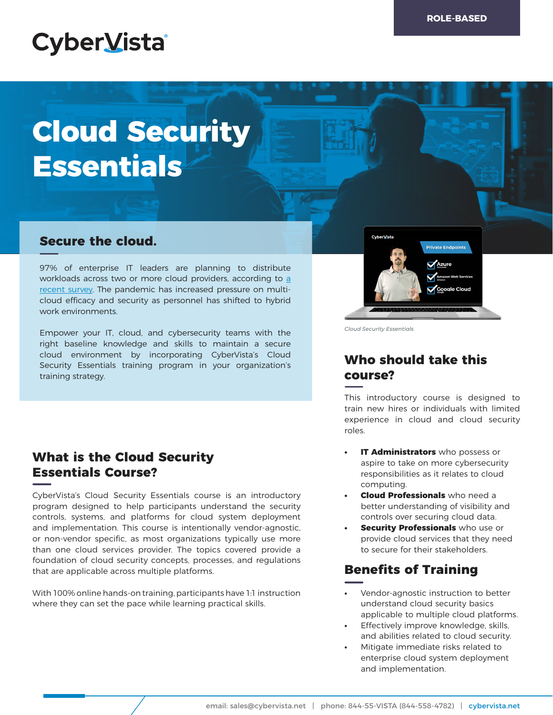# **CyberVista**

# **Cloud Security Essentials**

#### **Secure the cloud.**

97% of enterprise IT leaders are planning to distribute workloads across two or more cloud providers, according to [a](https://www.businesswire.com/news/home/20200309005328/en/Infrastructure-Security-Challenges-Threaten...) [recent survey](https://www.businesswire.com/news/home/20200309005328/en/Infrastructure-Security-Challenges-Threaten...). The pandemic has increased pressure on multicloud efficacy and security as personnel has shifted to hybrid work environments.

Empower your IT, cloud, and cybersecurity teams with the right baseline knowledge and skills to maintain a secure cloud environment by incorporating CyberVista's Cloud Security Essentials training program in your organization's training strategy.

### **What is the Cloud Security Essentials Course?**

CyberVista's Cloud Security Essentials course is an introductory program designed to help participants understand the security controls, systems, and platforms for cloud system deployment and implementation. This course is intentionally vendor-agnostic, or non-vendor specific, as most organizations typically use more than one cloud services provider. The topics covered provide a foundation of cloud security concepts, processes, and regulations that are applicable across multiple platforms.

With 100% online hands-on training, participants have 1:1 instruction where they can set the pace while learning practical skills.



*Cloud Security Essentials*

# **Who should take this course?**

This introductory course is designed to train new hires or individuals with limited experience in cloud and cloud security roles.

- **IT Administrators** who possess or aspire to take on more cybersecurity responsibilities as it relates to cloud computing.
- **• Cloud Professionals** who need a better understanding of visibility and controls over securing cloud data.
- **Security Professionals** who use or provide cloud services that they need to secure for their stakeholders.

# **Benefits of Training**

- **•** Vendor-agnostic instruction to better understand cloud security basics applicable to multiple cloud platforms.
- **•** Effectively improve knowledge, skills, and abilities related to cloud security.
- **•** Mitigate immediate risks related to enterprise cloud system deployment and implementation.